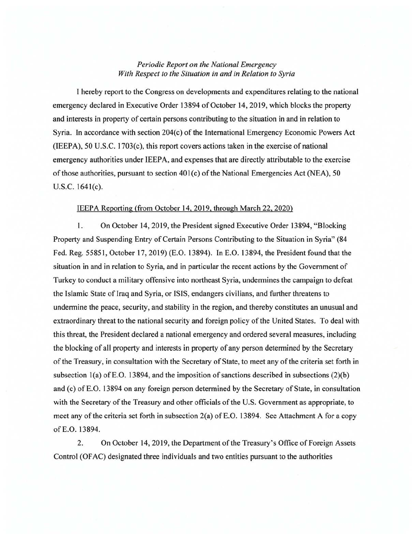## *Periodic Report on the National Emergency With Respect to the Situation in and in Relation to Syria*

I hereby report to the Congress on developments and expenditures relating to the national emergency declared in Executive Order 13894 of October 14, 2019, which blocks the property and interests in property of certain persons contributing to the situation in and in relation to Syria. In accordance with section  $204(c)$  of the International Emergency Economic Powers Act (IEEPA), 50 U.S.C. 1703(c), this report covers actions taken in the exercise of national emergency authorities under IEEPA, and expenses that are directly attributable to the exercise of those authorities, pursuant to section  $401(c)$  of the National Emergencies Act (NEA), 50 U.S.C. 1641(c).

## IEEPA Reporting (from October 14,2019, through March 22, 2020)

1. On October 14, 2019, the President signed Executive Order 13894, "Blocking Property and Suspending Entry of Certain Persons Contributing to the Situation in Syria" (84 Fed. Reg. 55851, October 17, 2019) (E.O. 13894). In E.O. 13894, the President found that the situation in and in relation to Syria, and in particular the recent actions by the Government of Turkey to conduct a military offensive into northeast Syria, undermines the campaign to defeat the Islamic State of Iraq and Syria, or ISIS, endangers civilians, and further threatens to undermine the peace, security, and stability in the region, and thereby constitutes an unusual and extraordinary threat to the national security and foreign policy of the United States. To deal with this threat, the President declared a national emergency and ordered several measures, including the blocking of all property and interests in property of any person determined by the Secretary of the Treasury, in consultation with the Secretary of State, to meet any ofthe criteria set forth in subsection  $1(a)$  of E.O. 13894, and the imposition of sanctions described in subsections  $(2)(b)$ and (c) of E.O. 13894 on any foreign person determined by the Secretary of State, in consultation with the Secretary of the Treasury and other officials of the U.S. Government as appropriate, to meet any of the criteria set forth in subsection 2(a) of E.O. 13894. See Attachment A for a copy ofE.O. 13894.

2. On October 14, 2019, the Department of the Treasury's Office of Foreign Assets Control (OF AC) designated three individuals and two entities pursuant to the authorities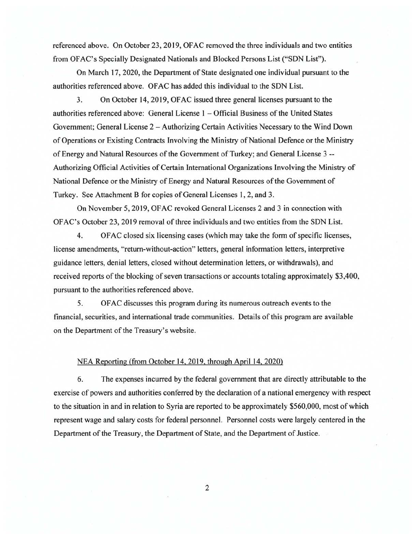referenced above. On October 23, 2019, OFAC removed the three individuals and two entities from OF AC's Specially Designated Nationals and Blocked Persons List ("SDN List").

On March 17, 2020, the Department of State designated one individual pursuant to the authorities referenced above. OF AC has added this individual to the SDN List.

3. On October 14, 2019, OFAC issued three general licenses pursuant to the authorities referenced above: General License I - Official Business of the United States Government; General License 2 – Authorizing Certain Activities Necessary to the Wind Down of Operations or Existing Contracts Involving the Ministry of National Defence or the Ministry of Energy and Natural Resources of the Government of Turkey; and General License 3 -- Authorizing Official Activities of Certain International Organizations Involving the Ministry of National Defence or the Ministry of Energy and Natural Resources of the Government of Turkey. See Attachment B for copies of General Licenses I, 2, and 3.

On November 5, 2019, OFAC revoked General Licenses 2 and 3 in connection with OFAC's October 23,2019 removal of three individuals and two entities from the SDN List.

4. OF AC closed six licensing cases (which may take the form of specific licenses, license amendments, "return-without-action" letters, general information letters, interpretive guidance letters, denial letters, closed without determination letters, or withdrawals), and received reports of the blocking of seven transactions or accounts totaling approximately \$3,400, pursuant to the authorities referenced above.

5. OFAC discusses this program during its numerous outreach events to the financial, securities, and international trade communities. Details of this program are available on the Department of the Treasury's website.

## NEA Reporting (from October 14, 2019, through April 14, 2020)

6. The expenses incurred by the federal government that are directly attributable to the exercise of powers and authorities conferred by the declaration of a national emergency with respect to the situation in and in relation to Syria are reported to be approximately \$560,000, most of which represent wage and salary costs for federal personnel. Personnel costs were largely centered in the Department of the Treasury, the Department of State, and the Department of Justice.

2